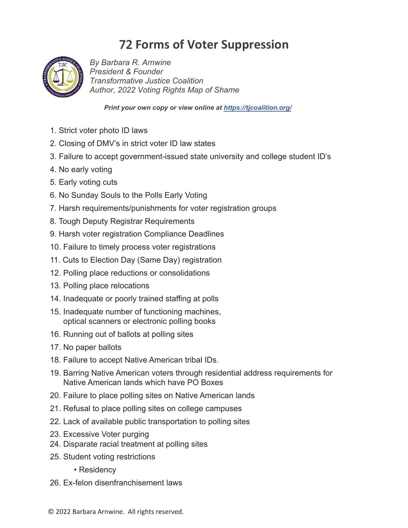## **72 Forms of Voter Suppression**



*By Barbara R. Arnwine President & Founder Transformative Justice Coalition Author, Voting Rights Map of Shame*

*Print your own copy or view online at https://tjcoalition.org/* 

- 1. Strict voter photo ID laws
- 2. Closing of DMV's in strict voter ID law states
- 3. Failure to accept government-issued state university and college student ID's
- 4. No early voting
- 5. Early voting cuts
- 6. No Sunday Souls to the Polls Early Voting
- 7. Harsh requirements/punishments for voter registration groups
- 8. Tough Deputy Registrar Requirements
- 9. Harsh voter registration Compliance Deadlines
- 10. Failure to timely process voter registrations
- 11. Cuts to Election Day (Same Day) registration
- 12. Polling place reductions or consolidations
- 13. Polling place relocations
- 14. Inadequate or poorly trained staffing at polls
- 15. Inadequate number of functioning machines, optical scanners or electronic polling books
- 16. Running out of ballots at polling sites
- 17. No paper ballots
- 18. Failure to accept Native American tribal IDs.
- 19. Barring Native American voters through residential address requirements for Native American lands which have PO Boxes
- 20. Failure to place polling sites on Native American lands
- 21. Refusal to place polling sites on college campuses
- 22. Lack of available public transportation to polling sites
- 23. Excessive Voter purging
- 24. Disparate racial treatment at polling sites
- 25. Student voting restrictions
	- Residency
- 26. Ex-felon disenfranchisement laws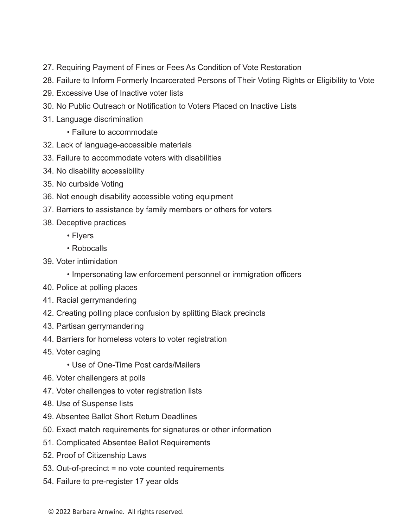- 27. Requiring Payment of Fines or Fees As Condition of Vote Restoration
- 28. Failure to Inform Formerly Incarcerated Persons of Their Voting Rights or Eligibility to Vote
- 29. Excessive Use of Inactive voter lists
- 30. No Public Outreach or Notification to Voters Placed on Inactive Lists
- 31. Language discrimination

• Failure to accommodate

- 32. Lack of language-accessible materials
- 33. Failure to accommodate voters with disabilities
- 34. No disability accessibility
- 35. No curbside Voting
- 36. Not enough disability accessible voting equipment
- 37. Barriers to assistance by family members or others for voters
- 38. Deceptive practices
	- Flyers
	- Robocalls
- 39. Voter intimidation
	- Impersonating law enforcement personnel or immigration officers
- 40. Police at polling places
- 41. Racial gerrymandering
- 42. Creating polling place confusion by splitting Black precincts
- 43. Partisan gerrymandering
- 44. Barriers for homeless voters to voter registration
- 45. Voter caging
	- Use of One-Time Post cards/Mailers
- 46. Voter challengers at polls
- 47. Voter challenges to voter registration lists
- 48. Use of Suspense lists
- 49. Absentee Ballot Short Return Deadlines
- 50. Exact match requirements for signatures or other information
- 51. Complicated Absentee Ballot Requirements
- 52. Proof of Citizenship Laws
- 53. Out-of-precinct = no vote counted requirements
- 54. Failure to pre-register 17 year olds